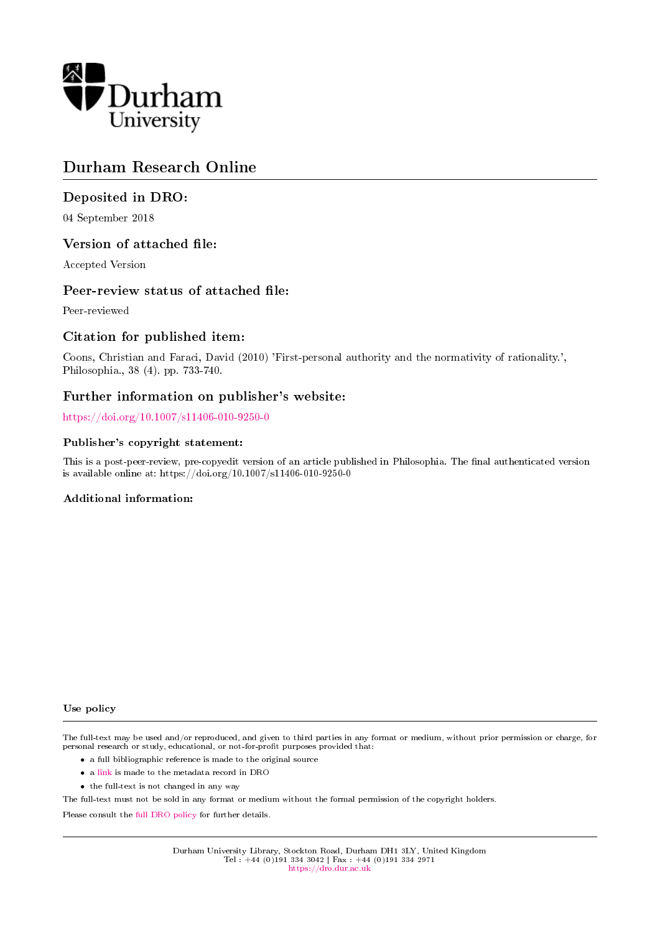

# Durham Research Online

# Deposited in DRO:

04 September 2018

### Version of attached file:

Accepted Version

### Peer-review status of attached file:

Peer-reviewed

# Citation for published item:

Coons, Christian and Faraci, David (2010) 'First-personal authority and the normativity of rationality.', Philosophia., 38 (4). pp. 733-740.

### Further information on publisher's website:

<https://doi.org/10.1007/s11406-010-9250-0>

#### Publisher's copyright statement:

This is a post-peer-review, pre-copyedit version of an article published in Philosophia. The final authenticated version is available online at: https://doi.org/10.1007/s11406-010-9250-0

### Additional information:

#### Use policy

The full-text may be used and/or reproduced, and given to third parties in any format or medium, without prior permission or charge, for personal research or study, educational, or not-for-profit purposes provided that:

- a full bibliographic reference is made to the original source
- a [link](http://dro.dur.ac.uk/26065/) is made to the metadata record in DRO
- the full-text is not changed in any way

The full-text must not be sold in any format or medium without the formal permission of the copyright holders.

Please consult the [full DRO policy](https://dro.dur.ac.uk/policies/usepolicy.pdf) for further details.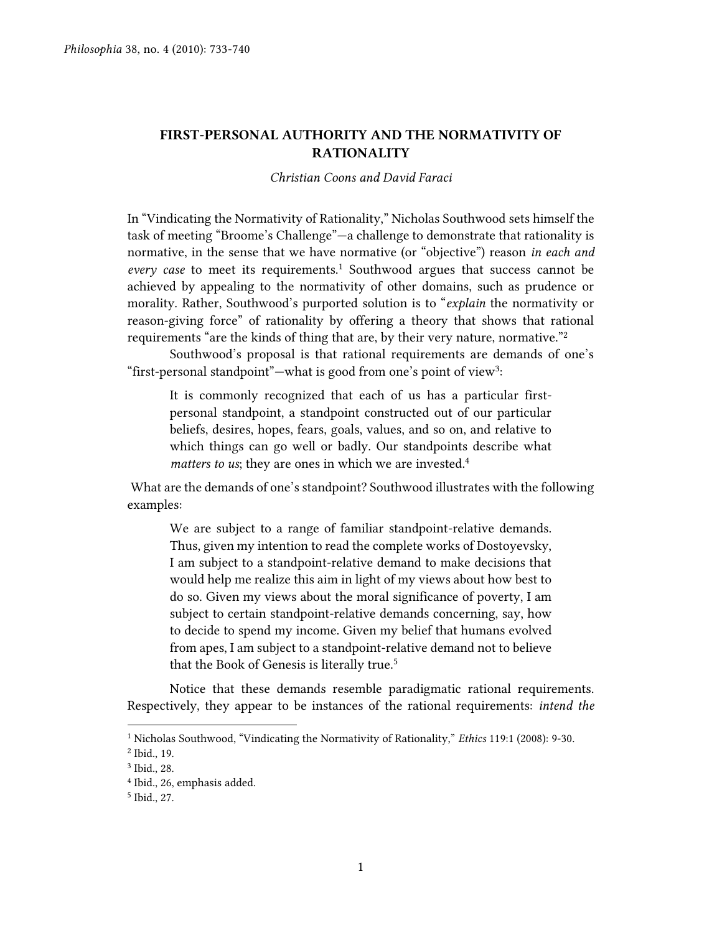# **FIRST-PERSONAL AUTHORITY AND THE NORMATIVITY OF RATIONALITY**

#### *Christian Coons and David Faraci*

In "Vindicating the Normativity of Rationality," Nicholas Southwood sets himself the task of meeting "Broome's Challenge"—a challenge to demonstrate that rationality is normative, in the sense that we have normative (or "objective") reason *in each and every case* to meet its requirements.<sup>1</sup> Southwood argues that success cannot be achieved by appealing to the normativity of other domains, such as prudence or morality. Rather, Southwood's purported solution is to "*explain* the normativity or reason-giving force" of rationality by offering a theory that shows that rational requirements "are the kinds of thing that are, by their very nature, normative."<sup>2</sup>

Southwood's proposal is that rational requirements are demands of one's "first-personal standpoint"—what is good from one's point of view<sup>3</sup>:

It is commonly recognized that each of us has a particular firstpersonal standpoint, a standpoint constructed out of our particular beliefs, desires, hopes, fears, goals, values, and so on, and relative to which things can go well or badly. Our standpoints describe what *matters to us*; they are ones in which we are invested.<sup>4</sup>

What are the demands of one's standpoint? Southwood illustrates with the following examples:

We are subject to a range of familiar standpoint-relative demands. Thus, given my intention to read the complete works of Dostoyevsky, I am subject to a standpoint-relative demand to make decisions that would help me realize this aim in light of my views about how best to do so. Given my views about the moral significance of poverty, I am subject to certain standpoint-relative demands concerning, say, how to decide to spend my income. Given my belief that humans evolved from apes, I am subject to a standpoint-relative demand not to believe that the Book of Genesis is literally true.<sup>5</sup>

Notice that these demands resemble paradigmatic rational requirements. Respectively, they appear to be instances of the rational requirements: *intend the* 

<sup>1</sup> Nicholas Southwood, "Vindicating the Normativity of Rationality," *Ethics* 119:1 (2008): 9-30.

<sup>2</sup> Ibid., 19.

<sup>3</sup> Ibid., 28.

<sup>4</sup> Ibid., 26, emphasis added.

<sup>5</sup> Ibid., 27.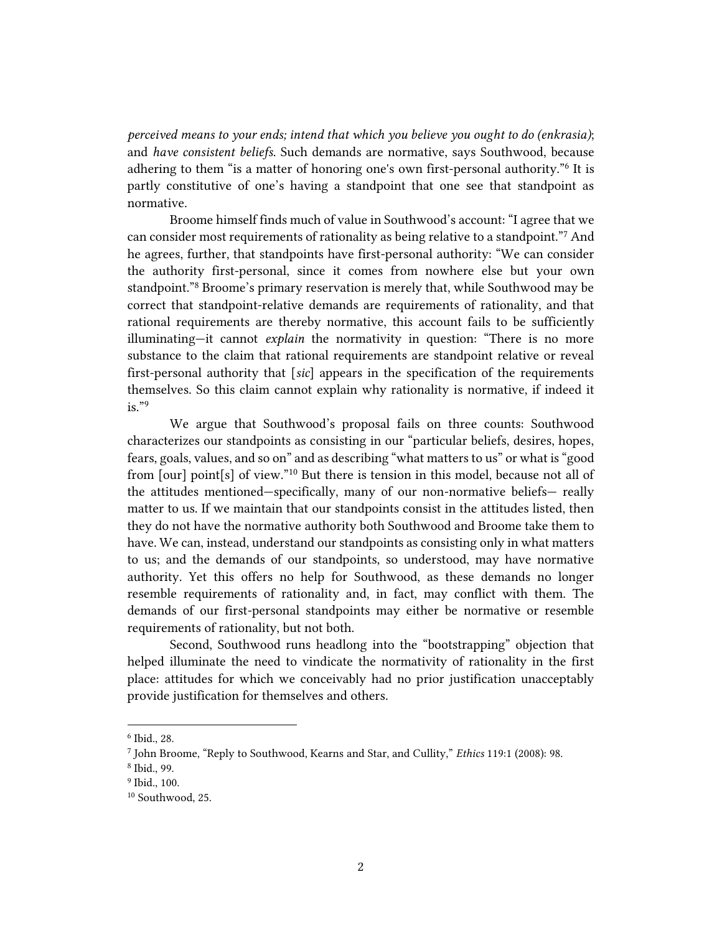*perceived means to your ends; intend that which you believe you ought to do (enkrasia)*; and *have consistent beliefs.* Such demands are normative, says Southwood, because adhering to them "is a matter of honoring one's own first-personal authority."<sup>6</sup> It is partly constitutive of one's having a standpoint that one see that standpoint as normative.

Broome himself finds much of value in Southwood's account: "I agree that we can consider most requirements of rationality as being relative to a standpoint."<sup>7</sup> And he agrees, further, that standpoints have first-personal authority: "We can consider the authority first-personal, since it comes from nowhere else but your own standpoint."<sup>8</sup> Broome's primary reservation is merely that, while Southwood may be correct that standpoint-relative demands are requirements of rationality, and that rational requirements are thereby normative, this account fails to be sufficiently illuminating—it cannot *explain* the normativity in question: "There is no more substance to the claim that rational requirements are standpoint relative or reveal first-personal authority that [*sic*] appears in the specification of the requirements themselves. So this claim cannot explain why rationality is normative, if indeed it  $is.$ "9

We argue that Southwood's proposal fails on three counts: Southwood characterizes our standpoints as consisting in our "particular beliefs, desires, hopes, fears, goals, values, and so on" and as describing "what matters to us" or what is "good from [our] point[s] of view."<sup>10</sup> But there is tension in this model, because not all of the attitudes mentioned—specifically, many of our non-normative beliefs— really matter to us. If we maintain that our standpoints consist in the attitudes listed, then they do not have the normative authority both Southwood and Broome take them to have. We can, instead, understand our standpoints as consisting only in what matters to us; and the demands of our standpoints, so understood, may have normative authority. Yet this offers no help for Southwood, as these demands no longer resemble requirements of rationality and, in fact, may conflict with them. The demands of our first-personal standpoints may either be normative or resemble requirements of rationality, but not both.

Second, Southwood runs headlong into the "bootstrapping" objection that helped illuminate the need to vindicate the normativity of rationality in the first place: attitudes for which we conceivably had no prior justification unacceptably provide justification for themselves and others.

<sup>6</sup> Ibid., 28.

<sup>7</sup> John Broome, "Reply to Southwood, Kearns and Star, and Cullity," *Ethics* 119:1 (2008): 98.

<sup>8</sup> Ibid., 99.

<sup>9</sup> Ibid., 100.

<sup>10</sup> Southwood, 25.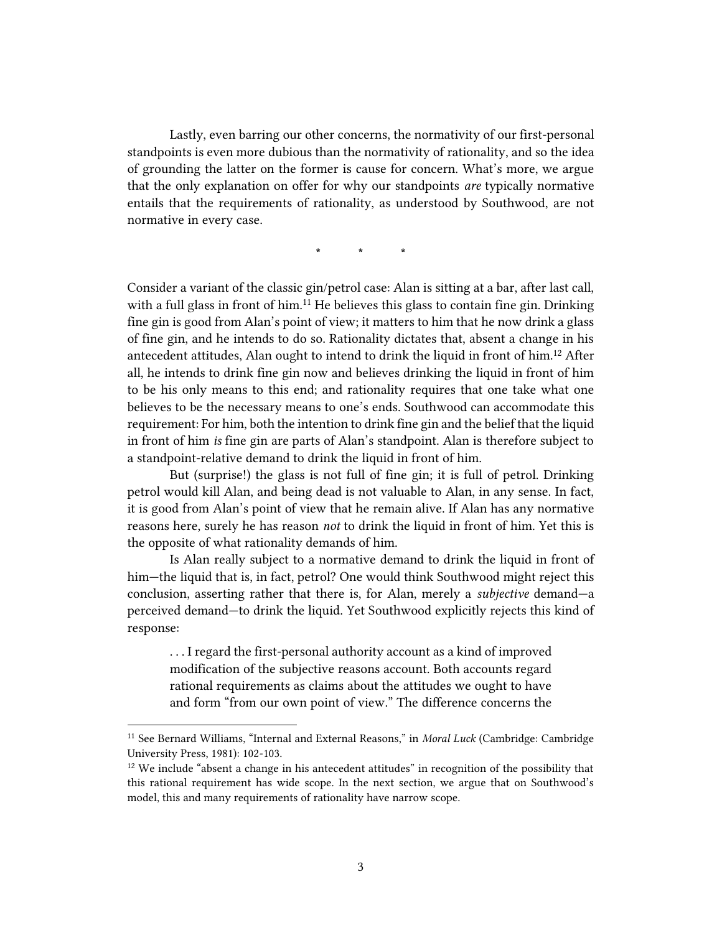Lastly, even barring our other concerns, the normativity of our first-personal standpoints is even more dubious than the normativity of rationality, and so the idea of grounding the latter on the former is cause for concern. What's more, we argue that the only explanation on offer for why our standpoints *are* typically normative entails that the requirements of rationality, as understood by Southwood, are not normative in every case.

**\* \* \***

Consider a variant of the classic gin/petrol case: Alan is sitting at a bar, after last call, with a full glass in front of him.<sup>11</sup> He believes this glass to contain fine gin. Drinking fine gin is good from Alan's point of view; it matters to him that he now drink a glass of fine gin, and he intends to do so. Rationality dictates that, absent a change in his antecedent attitudes, Alan ought to intend to drink the liquid in front of him.<sup>12</sup> After all, he intends to drink fine gin now and believes drinking the liquid in front of him to be his only means to this end; and rationality requires that one take what one believes to be the necessary means to one's ends. Southwood can accommodate this requirement: For him, both the intention to drink fine gin and the belief that the liquid in front of him *is* fine gin are parts of Alan's standpoint. Alan is therefore subject to a standpoint-relative demand to drink the liquid in front of him.

But (surprise!) the glass is not full of fine gin; it is full of petrol. Drinking petrol would kill Alan, and being dead is not valuable to Alan, in any sense. In fact, it is good from Alan's point of view that he remain alive. If Alan has any normative reasons here, surely he has reason *not* to drink the liquid in front of him. Yet this is the opposite of what rationality demands of him.

Is Alan really subject to a normative demand to drink the liquid in front of him—the liquid that is, in fact, petrol? One would think Southwood might reject this conclusion, asserting rather that there is, for Alan, merely a *subjective* demand—a perceived demand—to drink the liquid. Yet Southwood explicitly rejects this kind of response:

. . . I regard the first-personal authority account as a kind of improved modification of the subjective reasons account. Both accounts regard rational requirements as claims about the attitudes we ought to have and form "from our own point of view." The difference concerns the

<sup>11</sup> See Bernard Williams, "Internal and External Reasons," in *Moral Luck* (Cambridge: Cambridge University Press, 1981): 102-103.

<sup>&</sup>lt;sup>12</sup> We include "absent a change in his antecedent attitudes" in recognition of the possibility that this rational requirement has wide scope. In the next section, we argue that on Southwood's model, this and many requirements of rationality have narrow scope.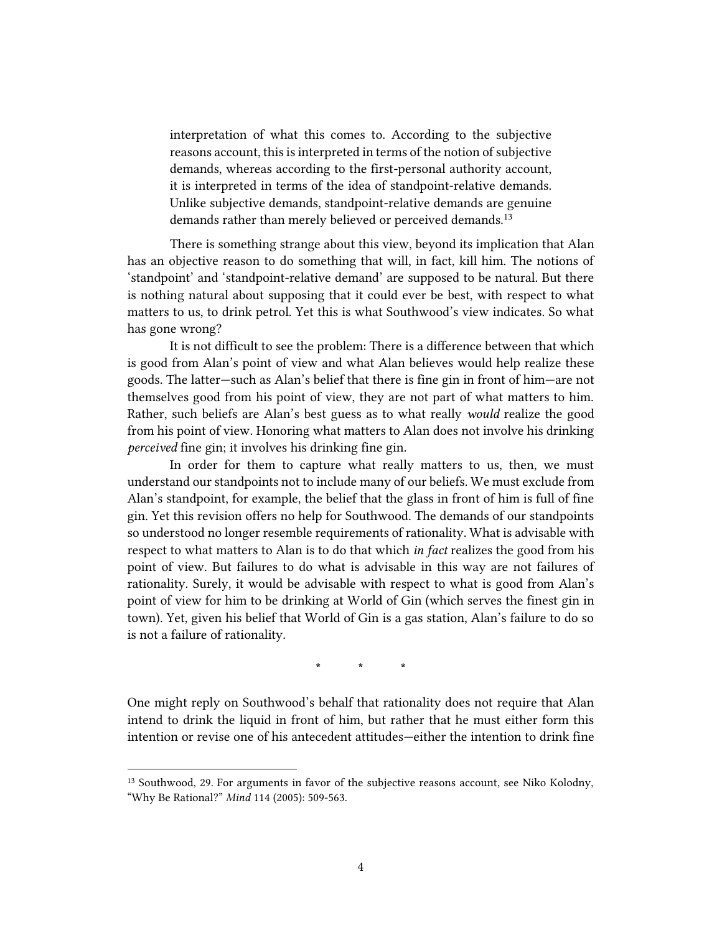interpretation of what this comes to. According to the subjective reasons account, this is interpreted in terms of the notion of subjective demands, whereas according to the first-personal authority account, it is interpreted in terms of the idea of standpoint-relative demands. Unlike subjective demands, standpoint-relative demands are genuine demands rather than merely believed or perceived demands.<sup>13</sup>

There is something strange about this view, beyond its implication that Alan has an objective reason to do something that will, in fact, kill him. The notions of 'standpoint' and 'standpoint-relative demand' are supposed to be natural. But there is nothing natural about supposing that it could ever be best, with respect to what matters to us, to drink petrol. Yet this is what Southwood's view indicates. So what has gone wrong?

It is not difficult to see the problem: There is a difference between that which is good from Alan's point of view and what Alan believes would help realize these goods. The latter—such as Alan's belief that there is fine gin in front of him—are not themselves good from his point of view, they are not part of what matters to him. Rather, such beliefs are Alan's best guess as to what really *would* realize the good from his point of view. Honoring what matters to Alan does not involve his drinking *perceived* fine gin; it involves his drinking fine gin.

In order for them to capture what really matters to us, then, we must understand our standpoints not to include many of our beliefs. We must exclude from Alan's standpoint, for example, the belief that the glass in front of him is full of fine gin. Yet this revision offers no help for Southwood. The demands of our standpoints so understood no longer resemble requirements of rationality. What is advisable with respect to what matters to Alan is to do that which *in fact* realizes the good from his point of view. But failures to do what is advisable in this way are not failures of rationality. Surely, it would be advisable with respect to what is good from Alan's point of view for him to be drinking at World of Gin (which serves the finest gin in town). Yet, given his belief that World of Gin is a gas station, Alan's failure to do so is not a failure of rationality.

**\* \* \***

One might reply on Southwood's behalf that rationality does not require that Alan intend to drink the liquid in front of him, but rather that he must either form this intention or revise one of his antecedent attitudes—either the intention to drink fine

<sup>&</sup>lt;sup>13</sup> Southwood, 29. For arguments in favor of the subjective reasons account, see Niko Kolodny, "Why Be Rational?" *Mind* 114 (2005): 509-563.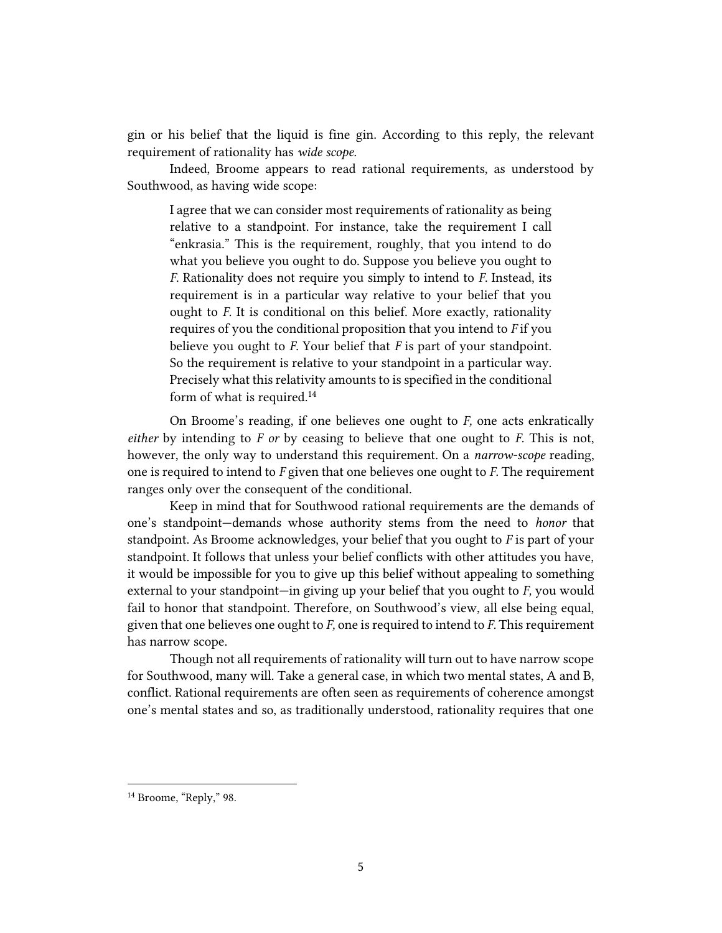gin or his belief that the liquid is fine gin. According to this reply, the relevant requirement of rationality has *wide scope.* 

Indeed, Broome appears to read rational requirements, as understood by Southwood, as having wide scope:

I agree that we can consider most requirements of rationality as being relative to a standpoint. For instance, take the requirement I call "enkrasia." This is the requirement, roughly, that you intend to do what you believe you ought to do. Suppose you believe you ought to *F.* Rationality does not require you simply to intend to *F.* Instead, its requirement is in a particular way relative to your belief that you ought to *F.* It is conditional on this belief. More exactly, rationality requires of you the conditional proposition that you intend to *F* if you believe you ought to *F.* Your belief that *F* is part of your standpoint. So the requirement is relative to your standpoint in a particular way. Precisely what this relativity amounts to is specified in the conditional form of what is required.<sup>14</sup>

On Broome's reading, if one believes one ought to *F,* one acts enkratically *either* by intending to *F or* by ceasing to believe that one ought to *F.* This is not, however, the only way to understand this requirement. On a *narrow-scope* reading, one is required to intend to *F* given that one believes one ought to *F.* The requirement ranges only over the consequent of the conditional.

Keep in mind that for Southwood rational requirements are the demands of one's standpoint—demands whose authority stems from the need to *honor* that standpoint. As Broome acknowledges, your belief that you ought to *F* is part of your standpoint. It follows that unless your belief conflicts with other attitudes you have, it would be impossible for you to give up this belief without appealing to something external to your standpoint—in giving up your belief that you ought to *F,* you would fail to honor that standpoint. Therefore, on Southwood's view, all else being equal, given that one believes one ought to *F,* one is required to intend to *F.* This requirement has narrow scope.

Though not all requirements of rationality will turn out to have narrow scope for Southwood, many will. Take a general case, in which two mental states, A and B, conflict. Rational requirements are often seen as requirements of coherence amongst one's mental states and so, as traditionally understood, rationality requires that one

<sup>&</sup>lt;sup>14</sup> Broome, "Reply," 98.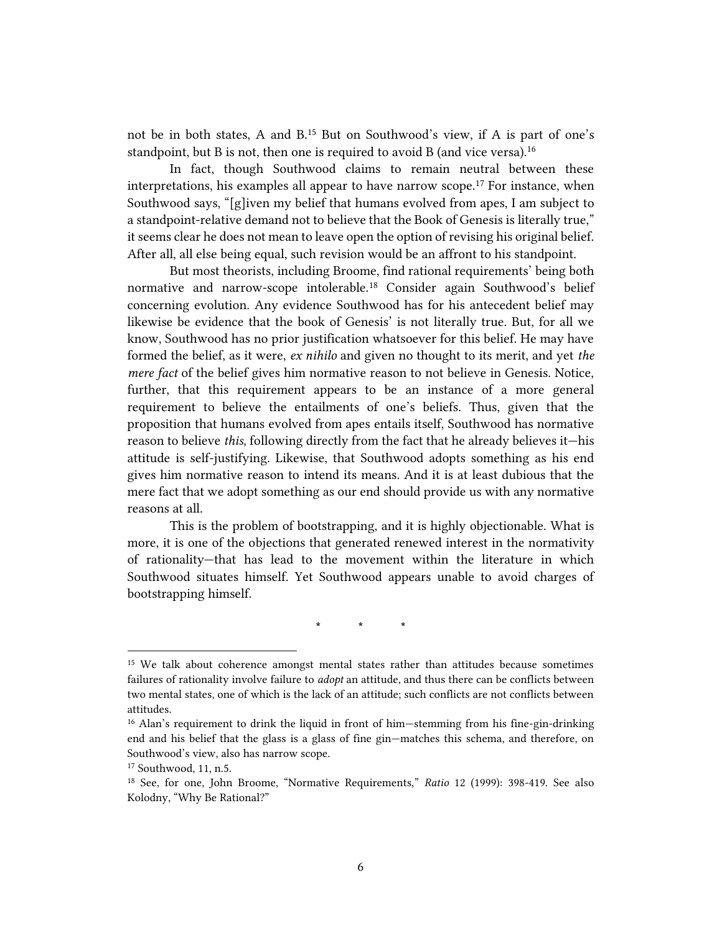not be in both states, A and B.<sup>15</sup> But on Southwood's view, if A is part of one's standpoint, but B is not, then one is required to avoid B (and vice versa).<sup>16</sup>

In fact, though Southwood claims to remain neutral between these interpretations, his examples all appear to have narrow scope.<sup>17</sup> For instance, when Southwood says, "[g]iven my belief that humans evolved from apes, I am subject to a standpoint-relative demand not to believe that the Book of Genesis is literally true," it seems clear he does not mean to leave open the option of revising his original belief. After all, all else being equal, such revision would be an affront to his standpoint.

But most theorists, including Broome, find rational requirements' being both normative and narrow-scope intolerable.<sup>18</sup> Consider again Southwood's belief concerning evolution. Any evidence Southwood has for his antecedent belief may likewise be evidence that the book of Genesis' is not literally true. But, for all we know, Southwood has no prior justification whatsoever for this belief. He may have formed the belief, as it were, *ex nihilo* and given no thought to its merit, and yet *the mere fact* of the belief gives him normative reason to not believe in Genesis. Notice, further, that this requirement appears to be an instance of a more general requirement to believe the entailments of one's beliefs. Thus, given that the proposition that humans evolved from apes entails itself, Southwood has normative reason to believe *this,* following directly from the fact that he already believes it—his attitude is self-justifying. Likewise, that Southwood adopts something as his end gives him normative reason to intend its means. And it is at least dubious that the mere fact that we adopt something as our end should provide us with any normative reasons at all.

This is the problem of bootstrapping, and it is highly objectionable. What is more, it is one of the objections that generated renewed interest in the normativity of rationality—that has lead to the movement within the literature in which Southwood situates himself. Yet Southwood appears unable to avoid charges of bootstrapping himself.

**\* \* \***

<sup>15</sup> We talk about coherence amongst mental states rather than attitudes because sometimes failures of rationality involve failure to *adopt* an attitude, and thus there can be conflicts between two mental states, one of which is the lack of an attitude; such conflicts are not conflicts between attitudes.

<sup>&</sup>lt;sup>16</sup> Alan's requirement to drink the liquid in front of him—stemming from his fine-gin-drinking end and his belief that the glass is a glass of fine gin—matches this schema, and therefore, on Southwood's view, also has narrow scope.

<sup>17</sup> Southwood, 11, n.5.

<sup>18</sup> See, for one, John Broome, "Normative Requirements," *Ratio* 12 (1999): 398-419. See also Kolodny, "Why Be Rational?"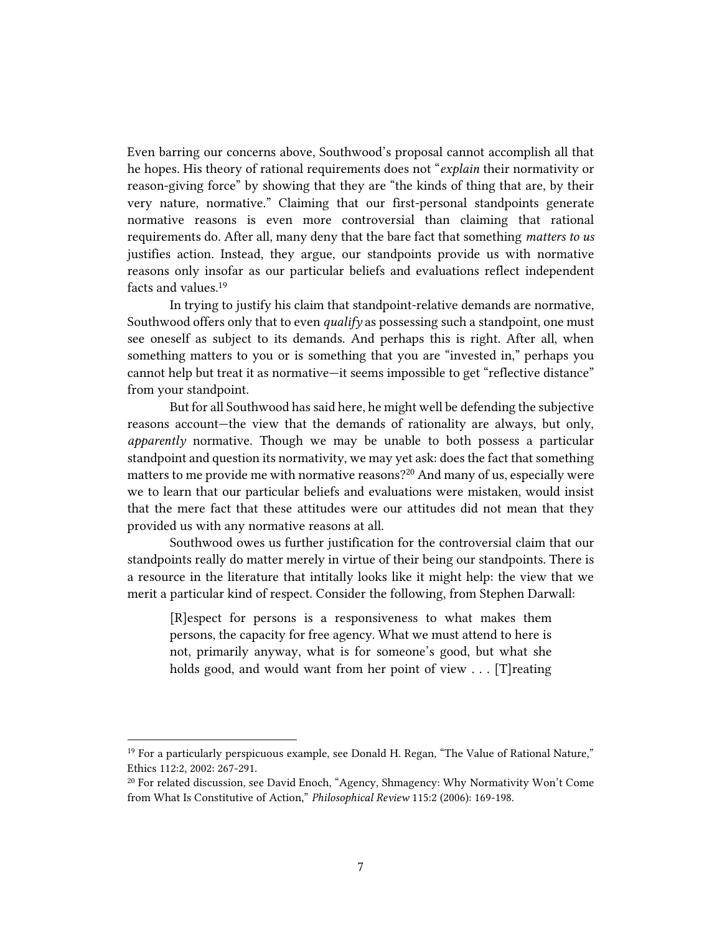Even barring our concerns above, Southwood's proposal cannot accomplish all that he hopes. His theory of rational requirements does not "*explain* their normativity or reason-giving force" by showing that they are "the kinds of thing that are, by their very nature, normative." Claiming that our first-personal standpoints generate normative reasons is even more controversial than claiming that rational requirements do. After all, many deny that the bare fact that something *matters to us* justifies action. Instead, they argue, our standpoints provide us with normative reasons only insofar as our particular beliefs and evaluations reflect independent facts and values.<sup>19</sup>

In trying to justify his claim that standpoint-relative demands are normative, Southwood offers only that to even *qualify* as possessing such a standpoint, one must see oneself as subject to its demands. And perhaps this is right. After all, when something matters to you or is something that you are "invested in," perhaps you cannot help but treat it as normative—it seems impossible to get "reflective distance" from your standpoint.

But for all Southwood has said here, he might well be defending the subjective reasons account—the view that the demands of rationality are always, but only, *apparently* normative. Though we may be unable to both possess a particular standpoint and question its normativity, we may yet ask: does the fact that something matters to me provide me with normative reasons?<sup>20</sup> And many of us, especially were we to learn that our particular beliefs and evaluations were mistaken, would insist that the mere fact that these attitudes were our attitudes did not mean that they provided us with any normative reasons at all.

Southwood owes us further justification for the controversial claim that our standpoints really do matter merely in virtue of their being our standpoints. There is a resource in the literature that intitally looks like it might help: the view that we merit a particular kind of respect. Consider the following, from Stephen Darwall:

[R]espect for persons is a responsiveness to what makes them persons, the capacity for free agency. What we must attend to here is not, primarily anyway, what is for someone's good, but what she holds good, and would want from her point of view . . . [T]reating

 $19$  For a particularly perspicuous example, see Donald H. Regan, "The Value of Rational Nature," Ethics 112:2, 2002: 267-291.

<sup>20</sup> For related discussion, see David Enoch, "Agency, Shmagency: Why Normativity Won't Come from What Is Constitutive of Action," *Philosophical Review* 115:2 (2006): 169-198.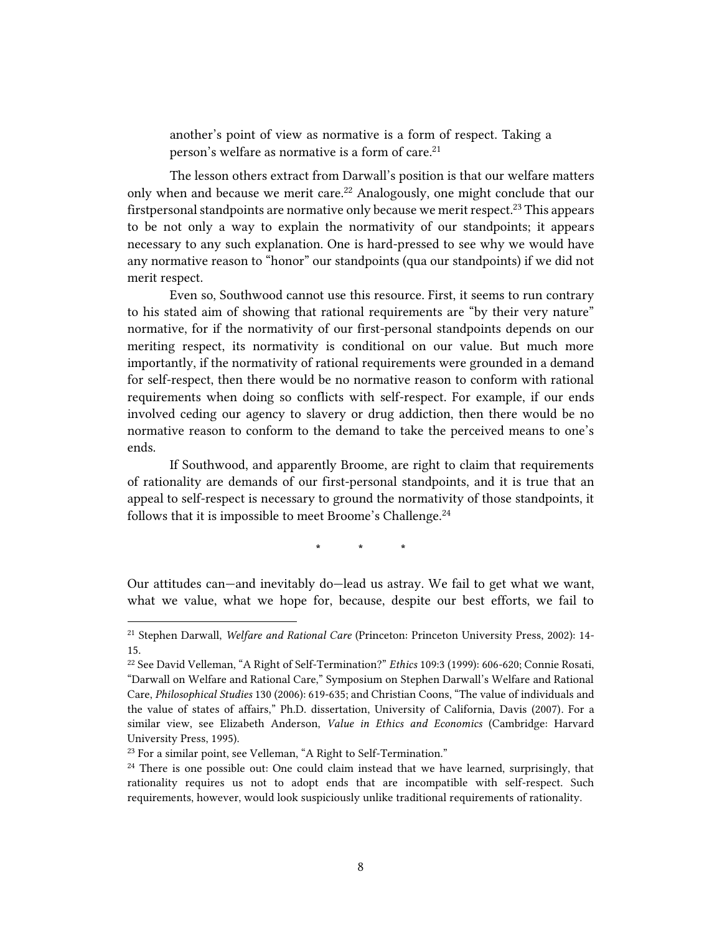another's point of view as normative is a form of respect. Taking a person's welfare as normative is a form of care.<sup>21</sup>

The lesson others extract from Darwall's position is that our welfare matters only when and because we merit care.<sup>22</sup> Analogously, one might conclude that our firstpersonal standpoints are normative only because we merit respect.<sup>23</sup> This appears to be not only a way to explain the normativity of our standpoints; it appears necessary to any such explanation. One is hard-pressed to see why we would have any normative reason to "honor" our standpoints (qua our standpoints) if we did not merit respect.

Even so, Southwood cannot use this resource. First, it seems to run contrary to his stated aim of showing that rational requirements are "by their very nature" normative, for if the normativity of our first-personal standpoints depends on our meriting respect, its normativity is conditional on our value. But much more importantly, if the normativity of rational requirements were grounded in a demand for self-respect, then there would be no normative reason to conform with rational requirements when doing so conflicts with self-respect. For example, if our ends involved ceding our agency to slavery or drug addiction, then there would be no normative reason to conform to the demand to take the perceived means to one's ends.

If Southwood, and apparently Broome, are right to claim that requirements of rationality are demands of our first-personal standpoints, and it is true that an appeal to self-respect is necessary to ground the normativity of those standpoints, it follows that it is impossible to meet Broome's Challenge.<sup>24</sup>

**\* \* \***

Our attitudes can—and inevitably do—lead us astray. We fail to get what we want, what we value, what we hope for, because, despite our best efforts, we fail to

<sup>21</sup> Stephen Darwall, *Welfare and Rational Care* (Princeton: Princeton University Press, 2002): 14- 15.

<sup>22</sup> See David Velleman, "A Right of Self-Termination?" *Ethics* 109:3 (1999): 606-620; Connie Rosati, "Darwall on Welfare and Rational Care," Symposium on Stephen Darwall's Welfare and Rational Care, *Philosophical Studies* 130 (2006): 619-635; and Christian Coons, "The value of individuals and the value of states of affairs," Ph.D. dissertation, University of California, Davis (2007). For a similar view, see Elizabeth Anderson, *Value in Ethics and Economics* (Cambridge: Harvard University Press, 1995).

<sup>&</sup>lt;sup>23</sup> For a similar point, see Velleman, "A Right to Self-Termination."

 $24$  There is one possible out: One could claim instead that we have learned, surprisingly, that rationality requires us not to adopt ends that are incompatible with self-respect. Such requirements, however, would look suspiciously unlike traditional requirements of rationality.